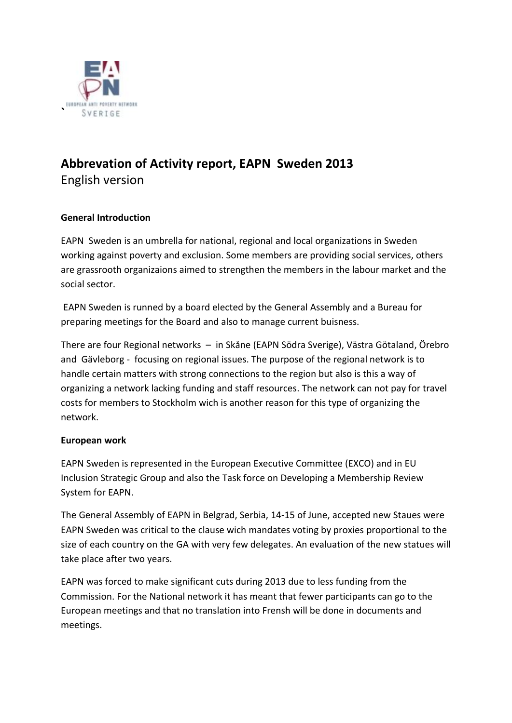

# **Abbrevation of Activity report, EAPN Sweden 2013** English version

# **General Introduction**

EAPN Sweden is an umbrella for national, regional and local organizations in Sweden working against poverty and exclusion. Some members are providing social services, others are grassrooth organizaions aimed to strengthen the members in the labour market and the social sector.

EAPN Sweden is runned by a board elected by the General Assembly and a Bureau for preparing meetings for the Board and also to manage current buisness.

There are four Regional networks – in Skåne (EAPN Södra Sverige), Västra Götaland, Örebro and Gävleborg - focusing on regional issues. The purpose of the regional network is to handle certain matters with strong connections to the region but also is this a way of organizing a network lacking funding and staff resources. The network can not pay for travel costs for members to Stockholm wich is another reason for this type of organizing the network.

## **European work**

EAPN Sweden is represented in the European Executive Committee (EXCO) and in EU Inclusion Strategic Group and also the Task force on Developing a Membership Review System for EAPN.

The General Assembly of EAPN in Belgrad, Serbia, 14-15 of June, accepted new Staues were EAPN Sweden was critical to the clause wich mandates voting by proxies proportional to the size of each country on the GA with very few delegates. An evaluation of the new statues will take place after two years.

EAPN was forced to make significant cuts during 2013 due to less funding from the Commission. For the National network it has meant that fewer participants can go to the European meetings and that no translation into Frensh will be done in documents and meetings.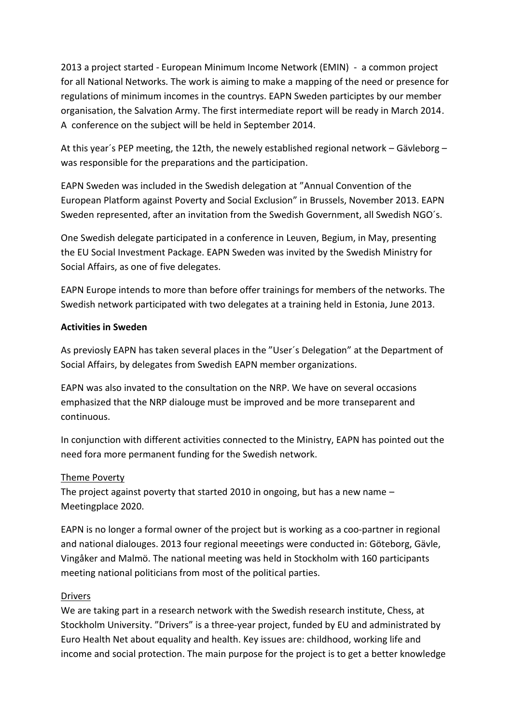2013 a project started - European Minimum Income Network (EMIN) - a common project for all National Networks. The work is aiming to make a mapping of the need or presence for regulations of minimum incomes in the countrys. EAPN Sweden participtes by our member organisation, the Salvation Army. The first intermediate report will be ready in March 2014. A conference on the subject will be held in September 2014.

At this year´s PEP meeting, the 12th, the newely established regional network – Gävleborg – was responsible for the preparations and the participation.

EAPN Sweden was included in the Swedish delegation at "Annual Convention of the European Platform against Poverty and Social Exclusion" in Brussels, November 2013. EAPN Sweden represented, after an invitation from the Swedish Government, all Swedish NGO´s.

One Swedish delegate participated in a conference in Leuven, Begium, in May, presenting the EU Social Investment Package. EAPN Sweden was invited by the Swedish Ministry for Social Affairs, as one of five delegates.

EAPN Europe intends to more than before offer trainings for members of the networks. The Swedish network participated with two delegates at a training held in Estonia, June 2013.

## **Activities in Sweden**

As previosly EAPN has taken several places in the "User´s Delegation" at the Department of Social Affairs, by delegates from Swedish EAPN member organizations.

EAPN was also invated to the consultation on the NRP. We have on several occasions emphasized that the NRP dialouge must be improved and be more transeparent and continuous.

In conjunction with different activities connected to the Ministry, EAPN has pointed out the need fora more permanent funding for the Swedish network.

## Theme Poverty

The project against poverty that started 2010 in ongoing, but has a new name – Meetingplace 2020.

EAPN is no longer a formal owner of the project but is working as a coo-partner in regional and national dialouges. 2013 four regional meeetings were conducted in: Göteborg, Gävle, Vingåker and Malmö. The national meeting was held in Stockholm with 160 participants meeting national politicians from most of the political parties.

#### Drivers

We are taking part in a research network with the Swedish research institute, Chess, at Stockholm University. "Drivers" is a three-year project, funded by EU and administrated by Euro Health Net about equality and health. Key issues are: childhood, working life and income and social protection. The main purpose for the project is to get a better knowledge